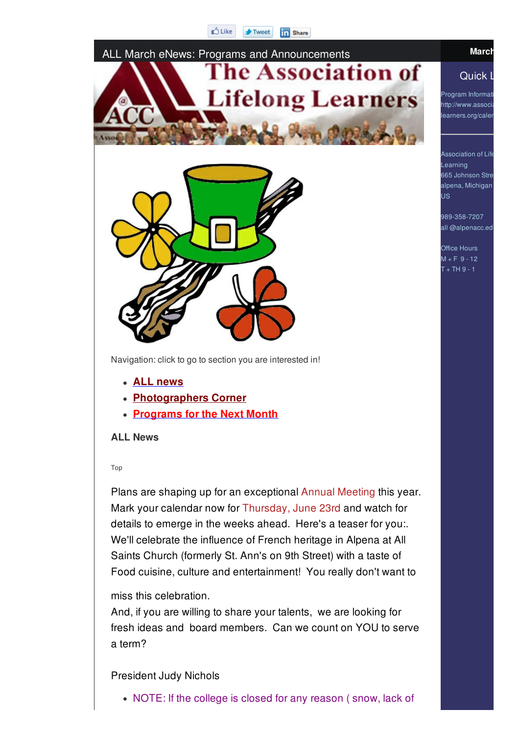#### **D** Like  $\rightarrow$  Tweet **in** Share



Navigation: click to go to section you are interested in!

- **ALL news**
- **Photographers Corner**
- **Programs for the Next Month**

#### **ALL News**

#### Top

Plans are shaping up for an exceptional Annual Meeting this year. Mark your calendar now for Thursday, June 23rd and watch for details to emerge in the weeks ahead. Here's a teaser for you:. We'll celebrate the influence of French heritage in Alpena at All Saints Church (formerly St. Ann's on 9th Street) with a taste of Food cuisine, culture and entertainment! You really don't want to

#### miss this celebration.

And, if you are willing to share your talents, we are looking for fresh ideas and board members. Can we count on YOU to serve a term?

#### President Judy Nichols

• NOTE: If the college is closed for any reason (snow, lack of

#### Quick I

Program Informati http://www.associ learners.org/caler

**Association of Life** Learning 665 Johnson Stre alpena, Michigan US

989-358-7207 all @alpenacc.ed

Office Hours  $M + F = 9 - 12$  $T + TH$  9 - 1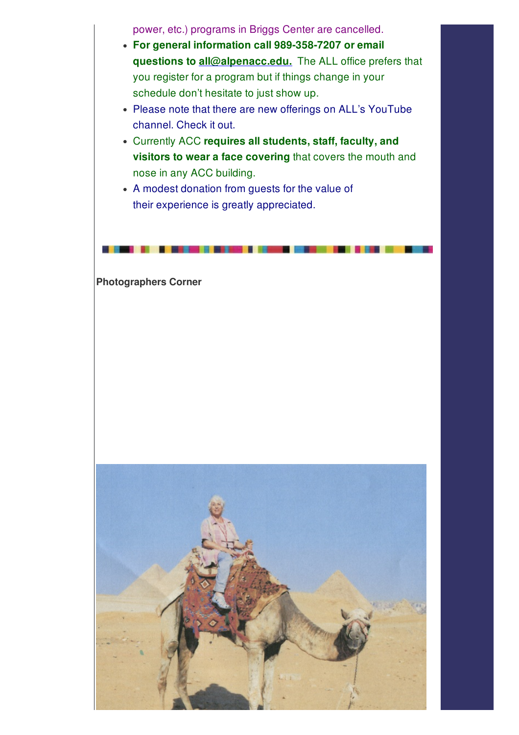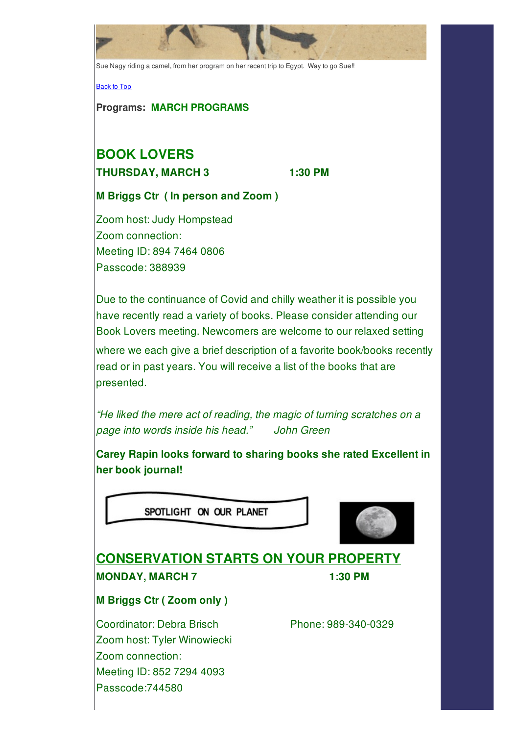Sue Nagy riding a camel, from her program on her recent trip to Egypt. Way to go Sue!!

Back to Top

**Programs: MARCH PROGRAMS**

# **BOOK LOVERS**

**THURSDAY, MARCH 3 1:30 PM**

**M Briggs Ctr ( In person and Zoom )**

Zoom host: Judy Hompstead Zoom connection: Meeting ID: 894 7464 0806 Passcode: 388939

Due to the continuance of Covid and chilly weather it is possible you have recently read a variety of books. Please consider attending our Book Lovers meeting. Newcomers are welcome to our relaxed setting where we each give a brief description of a favorite book/books recently read or in past years. You will receive a list of the books that are presented.

*"He liked the mere act of reading, the magic of turning scratches on a page into words inside his head." John Green*

**Carey Rapin looks forward to sharing books she rated Excellent in her book journal!**

SPOTLIGHT ON OUR PLANET



## **CONSERVATION STARTS ON YOUR PROPERTY MONDAY, MARCH 7 1:30 PM**

**M Briggs Ctr ( Zoom only )**

Coordinator: Debra Brisch Phone: 989-340-0329 Zoom host: Tyler Winowiecki Zoom connection: Meeting ID: 852 7294 4093 Passcode:744580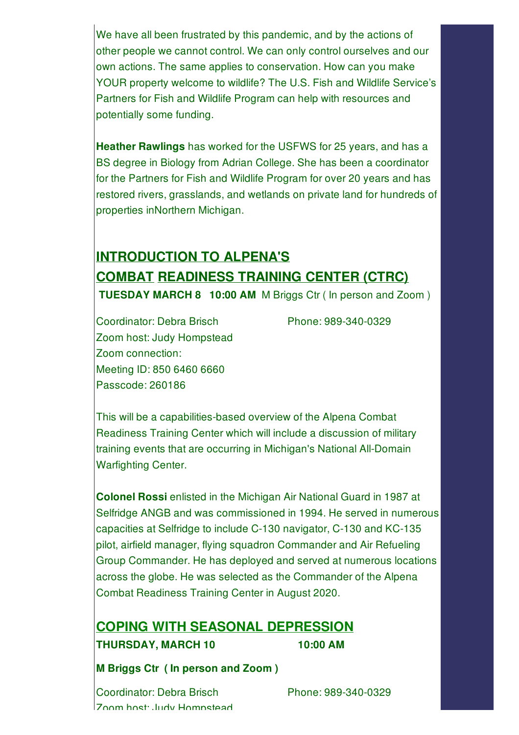We have all been frustrated by this pandemic, and by the actions of other people we cannot control. We can only control ourselves and our own actions. The same applies to conservation. How can you make YOUR property welcome to wildlife? The U.S. Fish and Wildlife Service's Partners for Fish and Wildlife Program can help with resources and potentially some funding.

**Heather Rawlings** has worked for the USFWS for 25 years, and has a BS degree in Biology from Adrian College. She has been a coordinator for the Partners for Fish and Wildlife Program for over 20 years and has restored rivers, grasslands, and wetlands on private land for hundreds of properties inNorthern Michigan.

# **INTRODUCTION TO ALPENA'S COMBAT READINESS TRAINING CENTER (CTRC) TUESDAY MARCH 8 10:00 AM** M Briggs Ctr ( In person and Zoom )

Coordinator: Debra Brisch Phone: 989-340-0329 Zoom host: Judy Hompstead Zoom connection: Meeting ID: 850 6460 6660 Passcode: 260186

This will be a capabilities-based overview of the Alpena Combat Readiness Training Center which will include a discussion of military training events that are occurring in Michigan's National All-Domain Warfighting Center.

**Colonel Rossi** enlisted in the Michigan Air National Guard in 1987 at Selfridge ANGB and was commissioned in 1994. He served in numerous capacities at Selfridge to include C-130 navigator, C-130 and KC-135 pilot, airfield manager, flying squadron Commander and Air Refueling Group Commander. He has deployed and served at numerous locations across the globe. He was selected as the Commander of the Alpena Combat Readiness Training Center in August 2020.

## **COPING WITH SEASONAL DEPRESSION THURSDAY, MARCH 10 10:00 AM**

**M Briggs Ctr ( In person and Zoom )**

Coordinator: Debra Brisch Phone: 989-340-0329 Zoom host: Judy Hompstead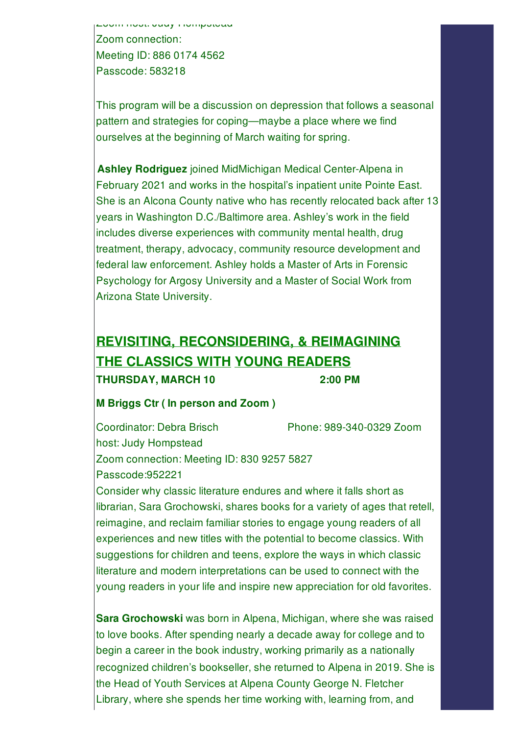Zoom host: Judy Hompstead Zoom connection: Meeting ID: 886 0174 4562 Passcode: 583218

This program will be a discussion on depression that follows a seasonal pattern and strategies for coping—maybe a place where we find ourselves at the beginning of March waiting for spring.

**Ashley Rodriguez** joined MidMichigan Medical Center-Alpena in February 2021 and works in the hospital's inpatient unite Pointe East. She is an Alcona County native who has recently relocated back after 13 years in Washington D.C./Baltimore area. Ashley's work in the field includes diverse experiences with community mental health, drug treatment, therapy, advocacy, community resource development and federal law enforcement. Ashley holds a Master of Arts in Forensic Psychology for Argosy University and a Master of Social Work from Arizona State University.

# **REVISITING, RECONSIDERING, & REIMAGINING THE CLASSICS WITH YOUNG READERS THURSDAY, MARCH 10 2:00 PM**

#### **M Briggs Ctr ( In person and Zoom )**

Coordinator: Debra Brisch Phone: 989-340-0329 Zoom host: Judy Hompstead Zoom connection: Meeting ID: 830 9257 5827 Passcode:952221

Consider why classic literature endures and where it falls short as librarian, Sara Grochowski, shares books for a variety of ages that retell, reimagine, and reclaim familiar stories to engage young readers of all experiences and new titles with the potential to become classics. With suggestions for children and teens, explore the ways in which classic literature and modern interpretations can be used to connect with the young readers in your life and inspire new appreciation for old favorites.

**Sara Grochowski** was born in Alpena, Michigan, where she was raised to love books. After spending nearly a decade away for college and to begin a career in the book industry, working primarily as a nationally recognized children's bookseller, she returned to Alpena in 2019. She is the Head of Youth Services at Alpena County George N. Fletcher Library, where she spends her time working with, learning from, and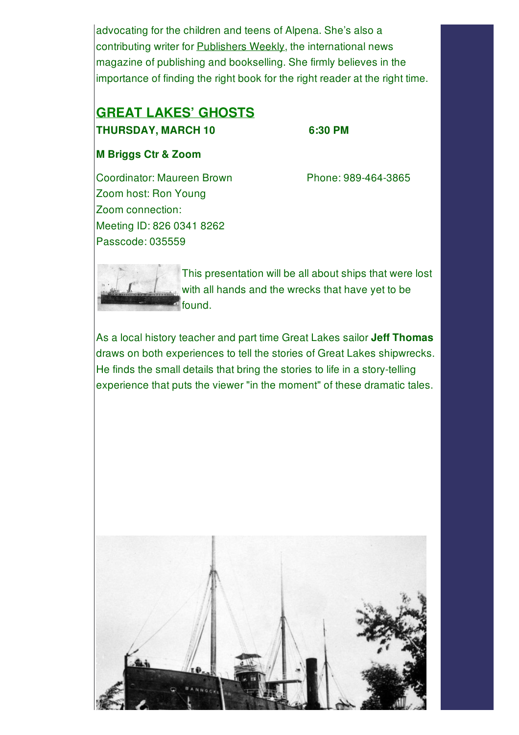advocating for the children and teens of Alpena. She's also a contributing writer for **Publishers Weekly**, the international news magazine of publishing and bookselling. She firmly believes in the importance of finding the right book for the right reader at the right time.

#### **GREAT LAKES' GHOSTS THURSDAY, MARCH 10 6:30 PM**

#### **M Briggs Ctr & Zoom**

Coordinator: Maureen Brown Phone: 989-464-3865 Zoom host: Ron Young Zoom connection: Meeting ID: 826 0341 8262 Passcode: 035559

This presentation will be all about ships that were lost with all hands and the wrecks that have yet to be found.

As a local history teacher and part time Great Lakes sailor **Jeff Thomas** draws on both experiences to tell the stories of Great Lakes shipwrecks. He finds the small details that bring the stories to life in a story-telling experience that puts the viewer "in the moment" of these dramatic tales.

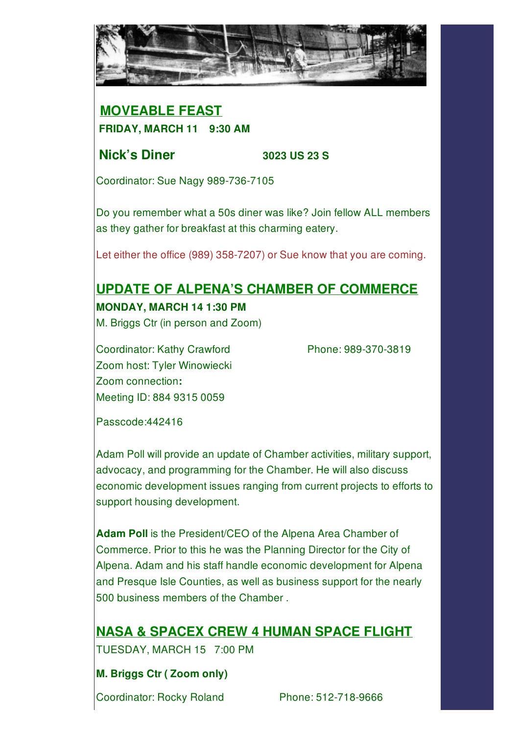

### **MOVEABLE FEAST FRIDAY, MARCH 11 9:30 AM**

#### **Nick's Diner 3023 US 23 S**

Coordinator: Sue Nagy 989-736-7105

Do you remember what a 50s diner was like? Join fellow ALL members as they gather for breakfast at this charming eatery.

Let either the office (989) 358-7207) or Sue know that you are coming.

# **UPDATE OF ALPENA'S CHAMBER OF COMMERCE MONDAY, MARCH 14 1:30 PM**

M. Briggs Ctr (in person and Zoom)

Coordinator: Kathy Crawford Phone: 989-370-3819 Zoom host: Tyler Winowiecki Zoom connection**:** Meeting ID: 884 9315 0059

Passcode:442416

Adam Poll will provide an update of Chamber activities, military support, advocacy, and programming for the Chamber. He will also discuss economic development issues ranging from current projects to efforts to support housing development.

**Adam Poll** is the President/CEO of the Alpena Area Chamber of Commerce. Prior to this he was the Planning Director for the City of Alpena. Adam and his staff handle economic development for Alpena and Presque Isle Counties, as well as business support for the nearly 500 business members of the Chamber .

# **NASA & SPACEX CREW 4 HUMAN SPACE FLIGHT**

TUESDAY, MARCH 15 7:00 PM

#### **M. Briggs Ctr ( Zoom only)**

Coordinator: Rocky Roland Phone: 512-718-9666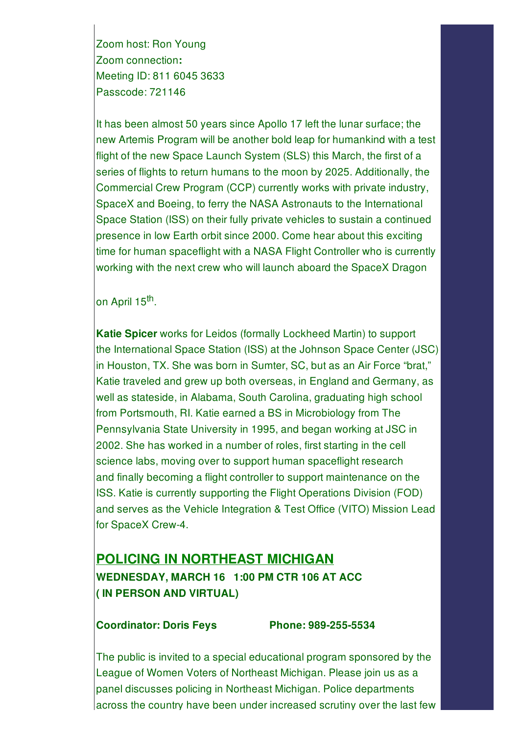Zoom host: Ron Young Zoom connection**:** Meeting ID: 811 6045 3633 Passcode: 721146

It has been almost 50 years since Apollo 17 left the lunar surface; the new Artemis Program will be another bold leap for humankind with a test flight of the new Space Launch System (SLS) this March, the first of a series of flights to return humans to the moon by 2025. Additionally, the Commercial Crew Program (CCP) currently works with private industry, SpaceX and Boeing, to ferry the NASA Astronauts to the International Space Station (ISS) on their fully private vehicles to sustain a continued presence in low Earth orbit since 2000. Come hear about this exciting time for human spaceflight with a NASA Flight Controller who is currently working with the next crew who will launch aboard the SpaceX Dragon

on April 15<sup>th</sup>.

**Katie Spicer** works for Leidos (formally Lockheed Martin) to support the International Space Station (ISS) at the Johnson Space Center (JSC) in Houston, TX. She was born in Sumter, SC, but as an Air Force "brat," Katie traveled and grew up both overseas, in England and Germany, as well as stateside, in Alabama, South Carolina, graduating high school from Portsmouth, RI. Katie earned a BS in Microbiology from The Pennsylvania State University in 1995, and began working at JSC in 2002. She has worked in a number of roles, first starting in the cell science labs, moving over to support human spaceflight research and finally becoming a flight controller to support maintenance on the ISS. Katie is currently supporting the Flight Operations Division (FOD) and serves as the Vehicle Integration & Test Office (VITO) Mission Lead for SpaceX Crew-4.

## **POLICING IN NORTHEAST MICHIGAN WEDNESDAY, MARCH 16 1:00 PM CTR 106 AT ACC ( IN PERSON AND VIRTUAL)**

#### **Coordinator: Doris Feys Phone: 989-255-5534**

The public is invited to a special educational program sponsored by the League of Women Voters of Northeast Michigan. Please join us as a panel discusses policing in Northeast Michigan. Police departments across the country have been under increased scrutiny over the last few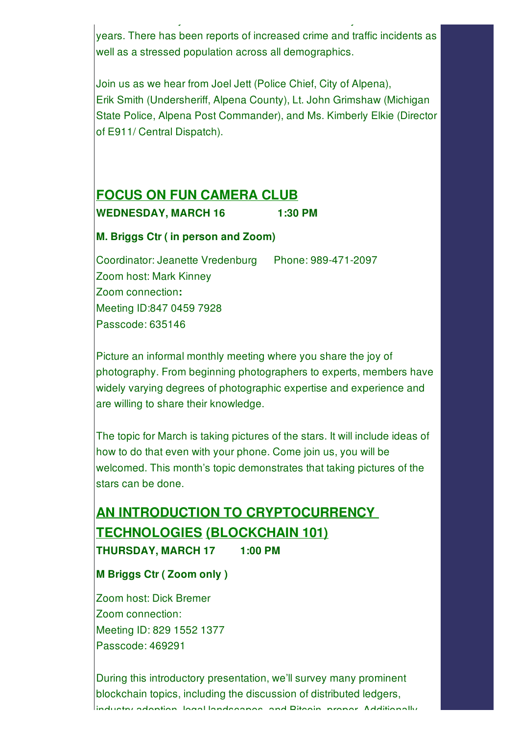years. There has been reports of increased crime and traffic incidents as well as a stressed population across all demographics.

across the country have been under increased scrutiny over the last few

Join us as we hear from Joel Jett (Police Chief, City of Alpena), Erik Smith (Undersheriff, Alpena County), Lt. John Grimshaw (Michigan State Police, Alpena Post Commander), and Ms. Kimberly Elkie (Director of E911/ Central Dispatch).

#### **FOCUS ON FUN CAMERA CLUB**

**WEDNESDAY, MARCH 16 1:30 PM**

#### **M. Briggs Ctr ( in person and Zoom)**

Coordinator: Jeanette Vredenburg Phone: 989-471-2097 Zoom host: Mark Kinney Zoom connection**:** Meeting ID:847 0459 7928 Passcode: 635146

Picture an informal monthly meeting where you share the joy of photography. From beginning photographers to experts, members have widely varying degrees of photographic expertise and experience and are willing to share their knowledge.

The topic for March is taking pictures of the stars. It will include ideas of how to do that even with your phone. Come join us, you will be welcomed. This month's topic demonstrates that taking pictures of the stars can be done.

# **AN INTRODUCTION TO CRYPTOCURRENCY TECHNOLOGIES (BLOCKCHAIN 101) THURSDAY, MARCH 17 1:00 PM**

**M Briggs Ctr ( Zoom only )**

Zoom host: Dick Bremer Zoom connection: Meeting ID: 829 1552 1377 Passcode: 469291

During this introductory presentation, we'll survey many prominent blockchain topics, including the discussion of distributed ledgers, industry adoption, legal landscapes, and Bitcoin, proper. Additionally,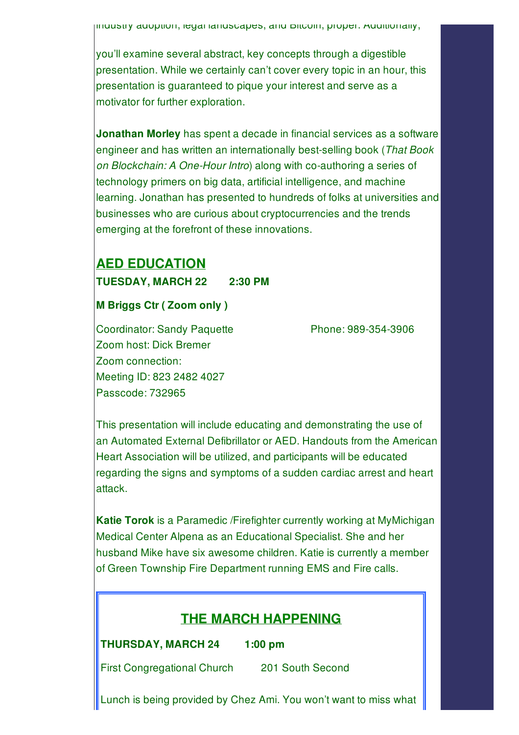industry adoption, legal landscapes, and Bitcoin, proper. Additionally,

you'll examine several abstract, key concepts through a digestible presentation. While we certainly can't cover every topic in an hour, this presentation is guaranteed to pique your interest and serve as a motivator for further exploration.

**Jonathan Morley** has spent a decade in financial services as a software engineer and has written an internationally best-selling book (*That Book on Blockchain: A One-Hour Intro*) along with co-authoring a series of technology primers on big data, artificial intelligence, and machine learning. Jonathan has presented to hundreds of folks at universities and businesses who are curious about cryptocurrencies and the trends emerging at the forefront of these innovations.

# **AED EDUCATION**

**TUESDAY, MARCH 22 2:30 PM**

#### **M Briggs Ctr ( Zoom only )**

Coordinator: Sandy Paquette Phone: 989-354-3906 Zoom host: Dick Bremer Zoom connection: Meeting ID: 823 2482 4027 Passcode: 732965

This presentation will include educating and demonstrating the use of an Automated External Defibrillator or AED. Handouts from the American Heart Association will be utilized, and participants will be educated regarding the signs and symptoms of a sudden cardiac arrest and heart attack.

**Katie Torok** is a Paramedic /Firefighter currently working at MyMichigan Medical Center Alpena as an Educational Specialist. She and her husband Mike have six awesome children. Katie is currently a member of Green Township Fire Department running EMS and Fire calls.

### **THE MARCH HAPPENING**

**THURSDAY, MARCH 24 1:00 pm**

First Congregational Church 201 South Second

Lunch is being provided by Chez Ami. You won't want to miss what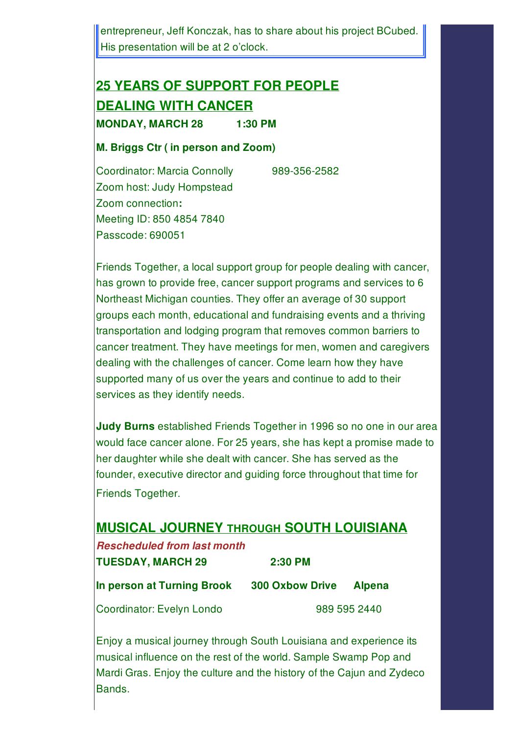entrepreneur, Jeff Konczak, has to share about his project BCubed. His presentation will be at 2 o'clock.

# **25 YEARS OF SUPPORT FOR PEOPLE DEALING WITH CANCER MONDAY, MARCH 28 1:30 PM**

#### **M. Briggs Ctr ( in person and Zoom)**

Coordinator: Marcia Connolly 989-356-2582 Zoom host: Judy Hompstead Zoom connection**:** Meeting ID: 850 4854 7840 Passcode: 690051

Friends Together, a local support group for people dealing with cancer, has grown to provide free, cancer support programs and services to 6 Northeast Michigan counties. They offer an average of 30 support groups each month, educational and fundraising events and a thriving transportation and lodging program that removes common barriers to cancer treatment. They have meetings for men, women and caregivers dealing with the challenges of cancer. Come learn how they have supported many of us over the years and continue to add to their services as they identify needs.

**Judy Burns** established Friends Together in 1996 so no one in our area would face cancer alone. For 25 years, she has kept a promise made to her daughter while she dealt with cancer. She has served as the founder, executive director and guiding force throughout that time for Friends Together.

#### **MUSICAL JOURNEY THROUGH SOUTH LOUISIANA**

| <b>Rescheduled from last month</b> |                       |
|------------------------------------|-----------------------|
| <b>TUESDAY, MARCH 29</b>           | $2:30$ PM             |
| In person at Turning Brook         | <b>300 Oxbow Driv</b> |

**Ixe Alpena** 

Coordinator: Evelyn Londo 989 595 2440

Enjoy a musical journey through South Louisiana and experience its musical influence on the rest of the world. Sample Swamp Pop and Mardi Gras. Enjoy the culture and the history of the Cajun and Zydeco Bands.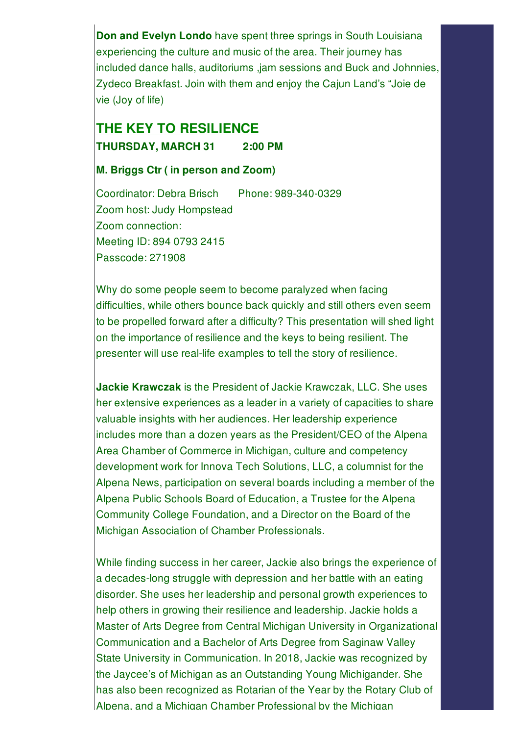**Don and Evelyn Londo** have spent three springs in South Louisiana experiencing the culture and music of the area. Their journey has included dance halls, auditoriums ,jam sessions and Buck and Johnnies, Zydeco Breakfast. Join with them and enjoy the Cajun Land's "Joie de vie (Joy of life)

### **THE KEY TO RESILIENCE THURSDAY, MARCH 31 2:00 PM**

#### **M. Briggs Ctr ( in person and Zoom)**

Coordinator: Debra Brisch Phone: 989-340-0329 Zoom host: Judy Hompstead Zoom connection: Meeting ID: 894 0793 2415 Passcode: 271908

Why do some people seem to become paralyzed when facing difficulties, while others bounce back quickly and still others even seem to be propelled forward after a difficulty? This presentation will shed light on the importance of resilience and the keys to being resilient. The presenter will use real-life examples to tell the story of resilience.

**Jackie Krawczak** is the President of Jackie Krawczak, LLC. She uses her extensive experiences as a leader in a variety of capacities to share valuable insights with her audiences. Her leadership experience includes more than a dozen years as the President/CEO of the Alpena Area Chamber of Commerce in Michigan, culture and competency development work for Innova Tech Solutions, LLC, a columnist for the Alpena News, participation on several boards including a member of the Alpena Public Schools Board of Education, a Trustee for the Alpena Community College Foundation, and a Director on the Board of the Michigan Association of Chamber Professionals.

While finding success in her career, Jackie also brings the experience of a decades-long struggle with depression and her battle with an eating disorder. She uses her leadership and personal growth experiences to help others in growing their resilience and leadership. Jackie holds a Master of Arts Degree from Central Michigan University in Organizational Communication and a Bachelor of Arts Degree from Saginaw Valley State University in Communication. In 2018, Jackie was recognized by the Jaycee's of Michigan as an Outstanding Young Michigander. She has also been recognized as Rotarian of the Year by the Rotary Club of Alpena, and a Michigan Chamber Professional by the Michigan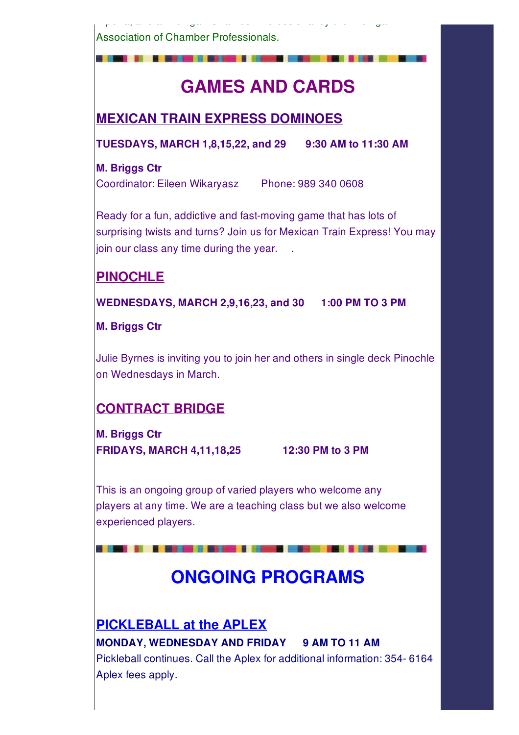Association of Chamber Professionals.

# **GAMES AND CARDS**

Alpena, and a Michigan Chamber Professional by the Michigan

**MEXICAN TRAIN EXPRESS DOMINOES**

**TUESDAYS, MARCH 1,8,15,22, and 29 9:30 AM to 11:30 AM**

#### **M. Briggs Ctr**

Coordinator: Eileen Wikaryasz Phone: 989 340 0608

Ready for a fun, addictive and fast-moving game that has lots of surprising twists and turns? Join us for Mexican Train Express! You may join our class any time during the year...

# **PINOCHLE**

**WEDNESDAYS, MARCH 2,9,16,23, and 30 1:00 PM TO 3 PM**

**M. Briggs Ctr**

Julie Byrnes is inviting you to join her and others in single deck Pinochle on Wednesdays in March.

# **CONTRACT BRIDGE**

**M. Briggs Ctr FRIDAYS, MARCH 4,11,18,25 12:30 PM to 3 PM**

. . . .

This is an ongoing group of varied players who welcome any players at any time. We are a teaching class but we also welcome experienced players.

# **ONGOING PROGRAMS**

**PICKLEBALL at the APLEX MONDAY, WEDNESDAY AND FRIDAY 9 AM TO 11 AM** Pickleball continues. Call the Aplex for additional information: 354- 6164 Aplex fees apply.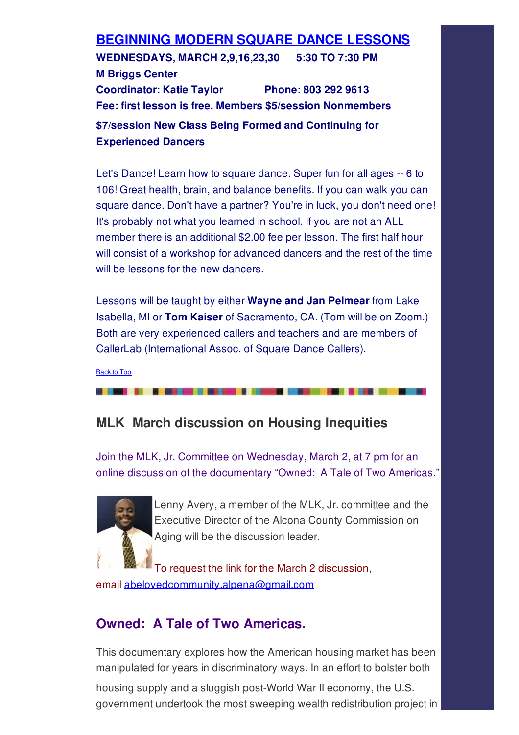# **BEGINNING MODERN SQUARE DANCE LESSONS**

**WEDNESDAYS, MARCH 2,9,16,23,30 5:30 TO 7:30 PM M Briggs Center Coordinator: Katie Taylor Phone: 803 292 9613 Fee: first lesson is free. Members \$5/session Nonmembers \$7/session New Class Being Formed and Continuing for**

**Experienced Dancers**

Let's Dance! Learn how to square dance. Super fun for all ages -- 6 to 106! Great health, brain, and balance benefits. If you can walk you can square dance. Don't have a partner? You're in luck, you don't need one! It's probably not what you learned in school. If you are not an ALL member there is an additional \$2.00 fee per lesson. The first half hour will consist of a workshop for advanced dancers and the rest of the time will be lessons for the new dancers.

Lessons will be taught by either **Wayne and Jan Pelmear** from Lake Isabella, MI or **Tom Kaiser** of Sacramento, CA. (Tom will be on Zoom.) Both are very experienced callers and teachers and are members of CallerLab (International Assoc. of Square Dance Callers).

Back to Top

# **MLK March discussion on Housing Inequities**

Join the MLK, Jr. Committee on Wednesday, March 2, at 7 pm for an online discussion of the documentary "Owned: A Tale of Two Americas."



Lenny Avery, a member of the MLK, Jr. committee and the Executive Director of the Alcona County Commission on Aging will be the discussion leader.

To request the link for the March 2 discussion, email abelovedcommunity.alpena@gmail.com

### **Owned: A Tale of Two Americas.**

This documentary explores how the American housing market has been manipulated for years in discriminatory ways. In an effort to bolster both

housing supply and a sluggish post-World War II economy, the U.S. government undertook the most sweeping wealth redistribution project in